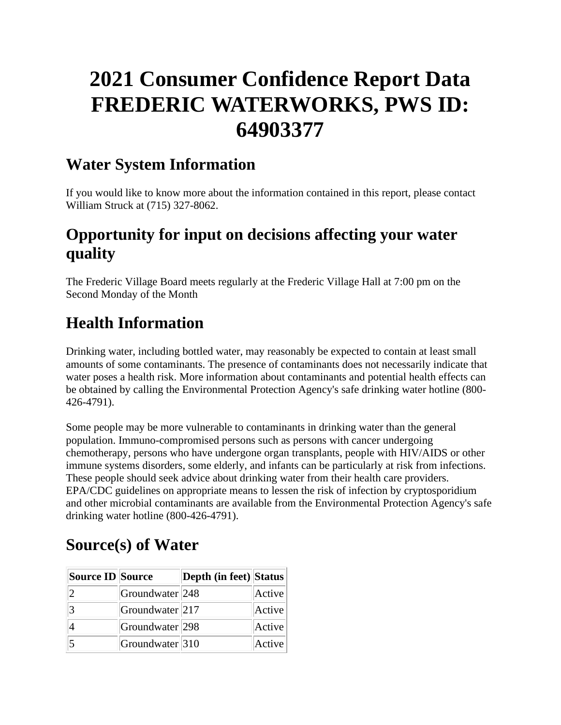# **2021 Consumer Confidence Report Data FREDERIC WATERWORKS, PWS ID: 64903377**

### **Water System Information**

If you would like to know more about the information contained in this report, please contact William Struck at (715) 327-8062.

# **Opportunity for input on decisions affecting your water quality**

The Frederic Village Board meets regularly at the Frederic Village Hall at 7:00 pm on the Second Monday of the Month

# **Health Information**

Drinking water, including bottled water, may reasonably be expected to contain at least small amounts of some contaminants. The presence of contaminants does not necessarily indicate that water poses a health risk. More information about contaminants and potential health effects can be obtained by calling the Environmental Protection Agency's safe drinking water hotline (800- 426-4791).

Some people may be more vulnerable to contaminants in drinking water than the general population. Immuno-compromised persons such as persons with cancer undergoing chemotherapy, persons who have undergone organ transplants, people with HIV/AIDS or other immune systems disorders, some elderly, and infants can be particularly at risk from infections. These people should seek advice about drinking water from their health care providers. EPA/CDC guidelines on appropriate means to lessen the risk of infection by cryptosporidium and other microbial contaminants are available from the Environmental Protection Agency's safe drinking water hotline (800-426-4791).

# **Source(s) of Water**

| Source ID Source |                            | Depth (in feet) Status |        |
|------------------|----------------------------|------------------------|--------|
| $\overline{2}$   | Groundwater <sup>248</sup> |                        | Active |
| 3                | Groundwater <sup>217</sup> |                        | Active |
|                  | Groundwater <sup>298</sup> |                        | Active |
|                  | Groundwater <sup>310</sup> |                        | Active |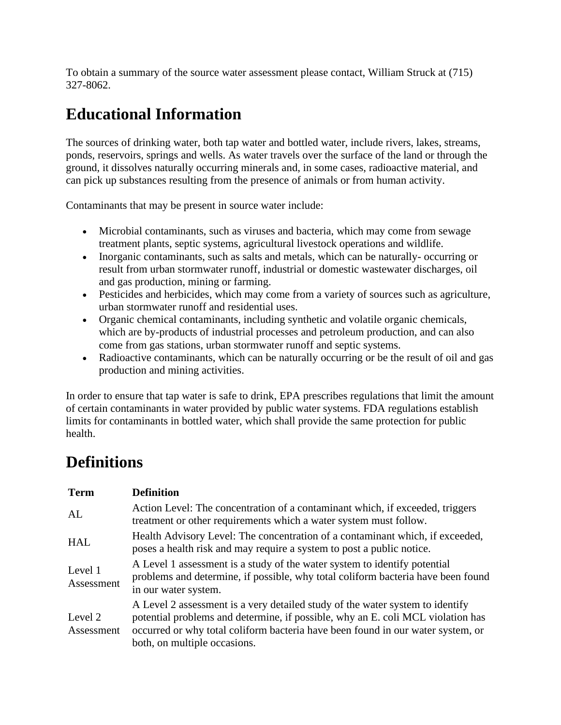To obtain a summary of the source water assessment please contact, William Struck at (715) 327-8062.

# **Educational Information**

The sources of drinking water, both tap water and bottled water, include rivers, lakes, streams, ponds, reservoirs, springs and wells. As water travels over the surface of the land or through the ground, it dissolves naturally occurring minerals and, in some cases, radioactive material, and can pick up substances resulting from the presence of animals or from human activity.

Contaminants that may be present in source water include:

- Microbial contaminants, such as viruses and bacteria, which may come from sewage treatment plants, septic systems, agricultural livestock operations and wildlife.
- Inorganic contaminants, such as salts and metals, which can be naturally- occurring or result from urban stormwater runoff, industrial or domestic wastewater discharges, oil and gas production, mining or farming.
- Pesticides and herbicides, which may come from a variety of sources such as agriculture, urban stormwater runoff and residential uses.
- Organic chemical contaminants, including synthetic and volatile organic chemicals, which are by-products of industrial processes and petroleum production, and can also come from gas stations, urban stormwater runoff and septic systems.
- Radioactive contaminants, which can be naturally occurring or be the result of oil and gas production and mining activities.

In order to ensure that tap water is safe to drink, EPA prescribes regulations that limit the amount of certain contaminants in water provided by public water systems. FDA regulations establish limits for contaminants in bottled water, which shall provide the same protection for public health.

### **Definitions**

| <b>Term</b>           | <b>Definition</b>                                                                                                                                                                                                                                                                   |
|-----------------------|-------------------------------------------------------------------------------------------------------------------------------------------------------------------------------------------------------------------------------------------------------------------------------------|
| AL                    | Action Level: The concentration of a contaminant which, if exceeded, triggers<br>treatment or other requirements which a water system must follow.                                                                                                                                  |
| <b>HAL</b>            | Health Advisory Level: The concentration of a contaminant which, if exceeded,<br>poses a health risk and may require a system to post a public notice.                                                                                                                              |
| Level 1<br>Assessment | A Level 1 assessment is a study of the water system to identify potential<br>problems and determine, if possible, why total coliform bacteria have been found<br>in our water system.                                                                                               |
| Level 2<br>Assessment | A Level 2 assessment is a very detailed study of the water system to identify<br>potential problems and determine, if possible, why an E. coli MCL violation has<br>occurred or why total coliform bacteria have been found in our water system, or<br>both, on multiple occasions. |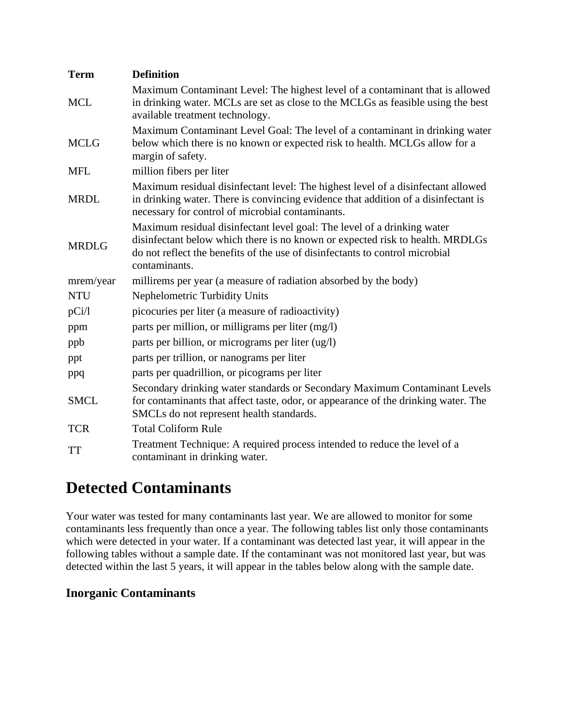| <b>Term</b>  | <b>Definition</b>                                                                                                                                                                                                                                         |
|--------------|-----------------------------------------------------------------------------------------------------------------------------------------------------------------------------------------------------------------------------------------------------------|
| <b>MCL</b>   | Maximum Contaminant Level: The highest level of a contaminant that is allowed<br>in drinking water. MCLs are set as close to the MCLGs as feasible using the best<br>available treatment technology.                                                      |
| <b>MCLG</b>  | Maximum Contaminant Level Goal: The level of a contaminant in drinking water<br>below which there is no known or expected risk to health. MCLGs allow for a<br>margin of safety.                                                                          |
| <b>MFL</b>   | million fibers per liter                                                                                                                                                                                                                                  |
| <b>MRDL</b>  | Maximum residual disinfectant level: The highest level of a disinfectant allowed<br>in drinking water. There is convincing evidence that addition of a disinfectant is<br>necessary for control of microbial contaminants.                                |
| <b>MRDLG</b> | Maximum residual disinfectant level goal: The level of a drinking water<br>disinfectant below which there is no known or expected risk to health. MRDLGs<br>do not reflect the benefits of the use of disinfectants to control microbial<br>contaminants. |
| mrem/year    | millirems per year (a measure of radiation absorbed by the body)                                                                                                                                                                                          |
| <b>NTU</b>   | <b>Nephelometric Turbidity Units</b>                                                                                                                                                                                                                      |
| pCi/1        | picocuries per liter (a measure of radioactivity)                                                                                                                                                                                                         |
| ppm          | parts per million, or milligrams per liter (mg/l)                                                                                                                                                                                                         |
| ppb          | parts per billion, or micrograms per liter (ug/l)                                                                                                                                                                                                         |
| ppt          | parts per trillion, or nanograms per liter                                                                                                                                                                                                                |
| ppq          | parts per quadrillion, or picograms per liter                                                                                                                                                                                                             |
| <b>SMCL</b>  | Secondary drinking water standards or Secondary Maximum Contaminant Levels<br>for contaminants that affect taste, odor, or appearance of the drinking water. The<br>SMCLs do not represent health standards.                                              |
| <b>TCR</b>   | <b>Total Coliform Rule</b>                                                                                                                                                                                                                                |
| <b>TT</b>    | Treatment Technique: A required process intended to reduce the level of a<br>contaminant in drinking water.                                                                                                                                               |

### **Detected Contaminants**

Your water was tested for many contaminants last year. We are allowed to monitor for some contaminants less frequently than once a year. The following tables list only those contaminants which were detected in your water. If a contaminant was detected last year, it will appear in the following tables without a sample date. If the contaminant was not monitored last year, but was detected within the last 5 years, it will appear in the tables below along with the sample date.

#### **Inorganic Contaminants**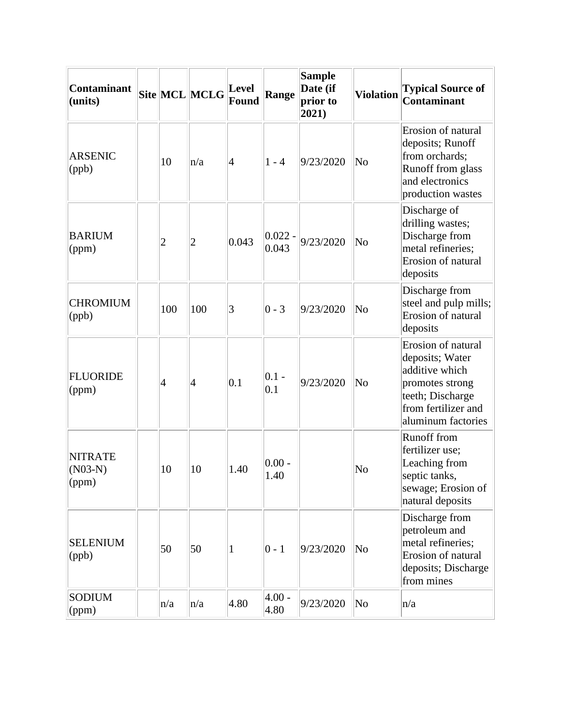| <b>Contaminant</b><br>(units)        |                | Site MCL MCLG  | <b>Level</b><br><b>Found</b> | Range              | <b>Sample</b><br>Date (if<br>prior to<br>$ 2021\rangle$ | <b>Violation</b>       | <b>Typical Source of</b><br>Contaminant                                                                                                     |
|--------------------------------------|----------------|----------------|------------------------------|--------------------|---------------------------------------------------------|------------------------|---------------------------------------------------------------------------------------------------------------------------------------------|
| <b>ARSENIC</b><br>(ppb)              | 10             | n/a            | 4                            | $1 - 4$            | 9/23/2020                                               | No                     | Erosion of natural<br>deposits; Runoff<br>from orchards;<br>Runoff from glass<br>and electronics<br>production wastes                       |
| <b>BARIUM</b><br>(ppm)               | $\overline{2}$ | $\overline{c}$ | 0.043                        | $0.022 -$<br>0.043 | 9/23/2020                                               | N <sub>o</sub>         | Discharge of<br>drilling wastes;<br>Discharge from<br>metal refineries;<br>Erosion of natural<br>deposits                                   |
| <b>CHROMIUM</b><br>(ppb)             | 100            | 100            | 3                            | $0 - 3$            | 9/23/2020                                               | N <sub>0</sub>         | Discharge from<br>steel and pulp mills;<br>Erosion of natural<br>deposits                                                                   |
| <b>FLUORIDE</b><br>(ppm)             | $\overline{4}$ | 4              | 0.1                          | $0.1 -$<br>0.1     | 9/23/2020                                               | No                     | Erosion of natural<br>deposits; Water<br>additive which<br>promotes strong<br>teeth; Discharge<br>from fertilizer and<br>aluminum factories |
| <b>NITRATE</b><br>$(N03-N)$<br>(ppm) | 10             | 10             | 1.40                         | $0.00 -$<br>1.40   |                                                         | N <sub>0</sub>         | <b>Runoff</b> from<br>fertilizer use;<br>Leaching from<br>septic tanks,<br>sewage; Erosion of<br>natural deposits                           |
| <b>SELENIUM</b><br>(ppb)             | 50             | 50             | 1                            | $0 - 1$            | 9/23/2020                                               | N <sub>0</sub>         | Discharge from<br>petroleum and<br>metal refineries;<br>Erosion of natural<br>deposits; Discharge<br>from mines                             |
| <b>SODIUM</b><br>(ppm)               | n/a            | n/a            | 4.80                         | $4.00 -$<br>4.80   | 9/23/2020                                               | $\overline{\text{No}}$ | n/a                                                                                                                                         |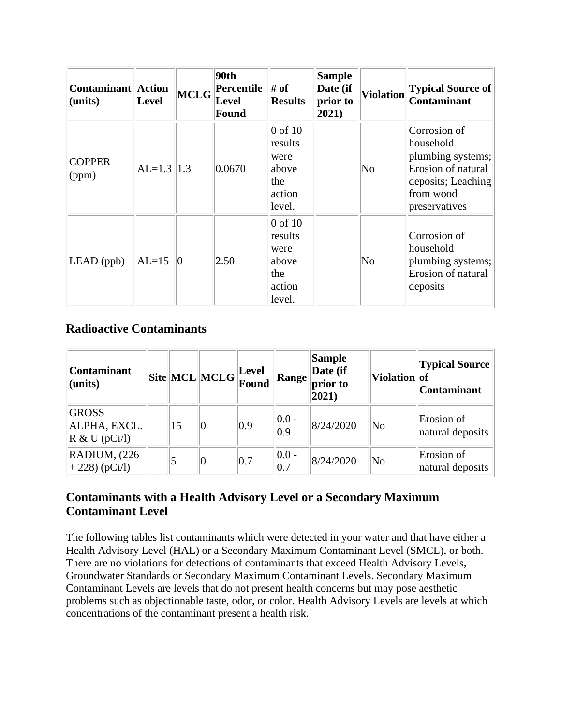| <b>Contaminant Action</b><br>(units) | Level         | <b>MCLG</b>     | 90th<br>Percentile<br><b>Level</b><br>Found | # of<br><b>Results</b>                                             | <b>Sample</b><br>Date (if<br>prior to<br>$ 2021\rangle$ | <b>Violation</b>       | <b>Typical Source of</b><br><b>Contaminant</b>                                                                           |
|--------------------------------------|---------------|-----------------|---------------------------------------------|--------------------------------------------------------------------|---------------------------------------------------------|------------------------|--------------------------------------------------------------------------------------------------------------------------|
| <b>COPPER</b><br>$\gamma$ (ppm)      | $AL=1.3$  1.3 |                 | 0.0670                                      | $0$ of $10$<br>results<br>were<br>above<br>the<br>action<br>level. |                                                         | $\overline{\text{No}}$ | Corrosion of<br>household<br>plumbing systems;<br>Erosion of natural<br>deposits; Leaching<br>from wood<br>preservatives |
| $LEAD$ (ppb)                         | $ AL=15$      | $\vert 0 \vert$ | 2.50                                        | $0$ of $10$<br>results<br>were<br>above<br>the<br>action<br>level. |                                                         | No                     | Corrosion of<br>household<br>plumbing systems;<br>Erosion of natural<br>deposits                                         |

#### **Radioactive Contaminants**

| <b>Contaminant</b><br>(units)                    |    | $\boxed{\text{Site}}\boxed{\text{MCL}}\boxed{\text{MCLG}}\boxed{\text{Level}}$ |     | Range            | Sample<br>Date (if<br>prior to<br>$ 2021\rangle$ | Violation of           | <b>Typical Source</b><br><b>Contaminant</b> |
|--------------------------------------------------|----|--------------------------------------------------------------------------------|-----|------------------|--------------------------------------------------|------------------------|---------------------------------------------|
| <b>GROSS</b><br>ALPHA, EXCL.<br>$R \& U (pCi/l)$ | 15 |                                                                                | 0.9 | $ 0.0 -$<br> 0.9 | 8/24/2020                                        | $\overline{\text{No}}$ | Erosion of<br>natural deposits              |
| RADIUM, (226)<br>$+ 228$ (pCi/l)                 | 5  |                                                                                | 0.7 | $ 0.0 -$<br> 0.7 | 8/24/2020                                        | $\overline{\text{No}}$ | Erosion of<br>natural deposits              |

### **Contaminants with a Health Advisory Level or a Secondary Maximum Contaminant Level**

The following tables list contaminants which were detected in your water and that have either a Health Advisory Level (HAL) or a Secondary Maximum Contaminant Level (SMCL), or both. There are no violations for detections of contaminants that exceed Health Advisory Levels, Groundwater Standards or Secondary Maximum Contaminant Levels. Secondary Maximum Contaminant Levels are levels that do not present health concerns but may pose aesthetic problems such as objectionable taste, odor, or color. Health Advisory Levels are levels at which concentrations of the contaminant present a health risk.